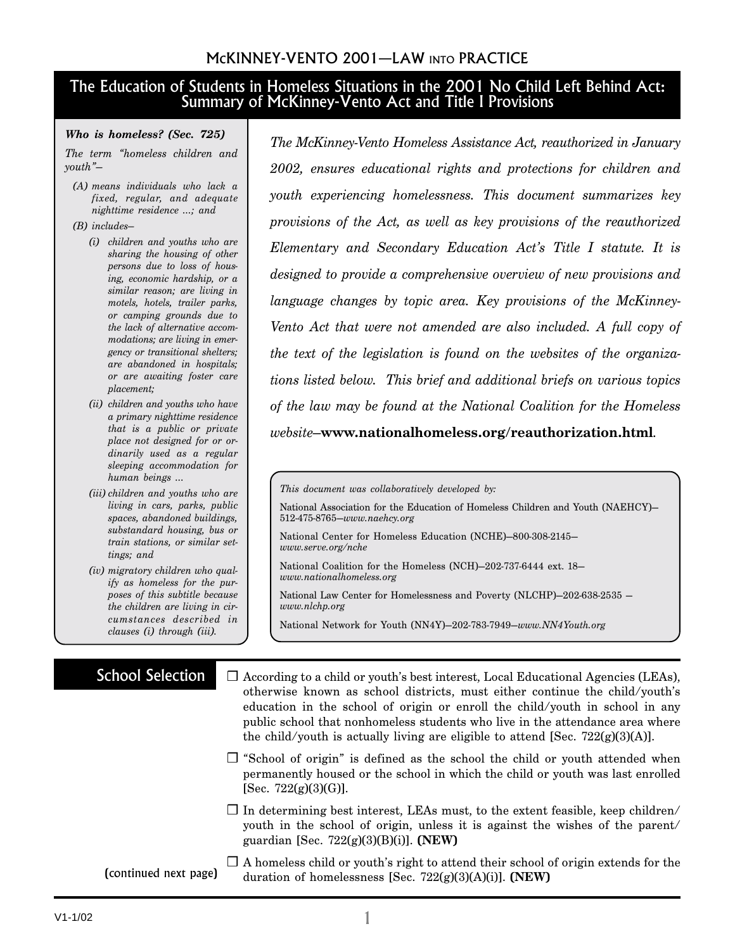### McKINNEY-VENTO 2001—LAW INTO PRACTICE

### The Education of Students in Homeless Situations in the 2001 No Child Left Behind Act: Summary of McKinney-Vento Act and Title I Provisions

#### *Who is homeless? (Sec. 725)*

*The term "homeless children and youth"—*

*(A) means individuals who lack a fixed, regular, and adequate nighttime residence …; and*

#### *(B) includes—*

- *(i) children and youths who are sharing the housing of other persons due to loss of housing, economic hardship, or a similar reason; are living in motels, hotels, trailer parks, or camping grounds due to the lack of alternative accommodations; are living in emergency or transitional shelters; are abandoned in hospitals; or are awaiting foster care placement;*
- *(ii) children and youths who have a primary nighttime residence that is a public or private place not designed for or ordinarily used as a regular sleeping accommodation for human beings …*
- *(iii) children and youths who are living in cars, parks, public spaces, abandoned buildings, substandard housing, bus or train stations, or similar settings; and*
- *(iv) migratory children who qualify as homeless for the purposes of this subtitle because the children are living in circumstances described in clauses (i) through (iii).*

*The McKinney-Vento Homeless Assistance Act, reauthorized in January 2002, ensures educational rights and protections for children and youth experiencing homelessness. This document summarizes key provisions of the Act, as well as key provisions of the reauthorized Elementary and Secondary Education Act's Title I statute. It is designed to provide a comprehensive overview of new provisions and language changes by topic area. Key provisions of the McKinney-Vento Act that were not amended are also included. A full copy of the text of the legislation is found on the websites of the organizations listed below. This brief and additional briefs on various topics of the law may be found at the National Coalition for the Homeless website—***www.nationalhomeless.org/reauthorization.html***.*

National Association for the Education of Homeless Children and Youth (NAEHCY)— 512-475-8765—*www.naehcy.org*

National Center for Homeless Education (NCHE)—800-308-2145 *www.serve.org/nche*

National Coalition for the Homeless (NCH)—202-737-6444 ext. 18 *www.nationalhomeless.org*

National Law Center for Homelessness and Poverty (NLCHP)—202-638-2535 *www.nlchp.org*

National Network for Youth (NN4Y)—202-783-7949—*www.NN4Youth.org*

### School Selection

- ❒ According to a child or youth's best interest, Local Educational Agencies (LEAs), otherwise known as school districts, must either continue the child/youth's education in the school of origin or enroll the child/youth in school in any public school that nonhomeless students who live in the attendance area where the child/youth is actually living are eligible to attend [Sec.  $722(g)(3)(A)$ ].
	- ❒ "School of origin" is defined as the school the child or youth attended when permanently housed or the school in which the child or youth was last enrolled [Sec.  $722(g)(3)(G)$ ].
	- $\Box$  In determining best interest, LEAs must, to the extent feasible, keep children/ youth in the school of origin, unless it is against the wishes of the parent/ guardian [Sec. 722(g)(3)(B)(i)]. **(NEW)**
- ❒ A homeless child or youth's right to attend their school of origin extends for the duration of homelessness [Sec. 722(g)(3)(A)(i)]. **(NEW)** (continued next page)

*This document was collaboratively developed by:*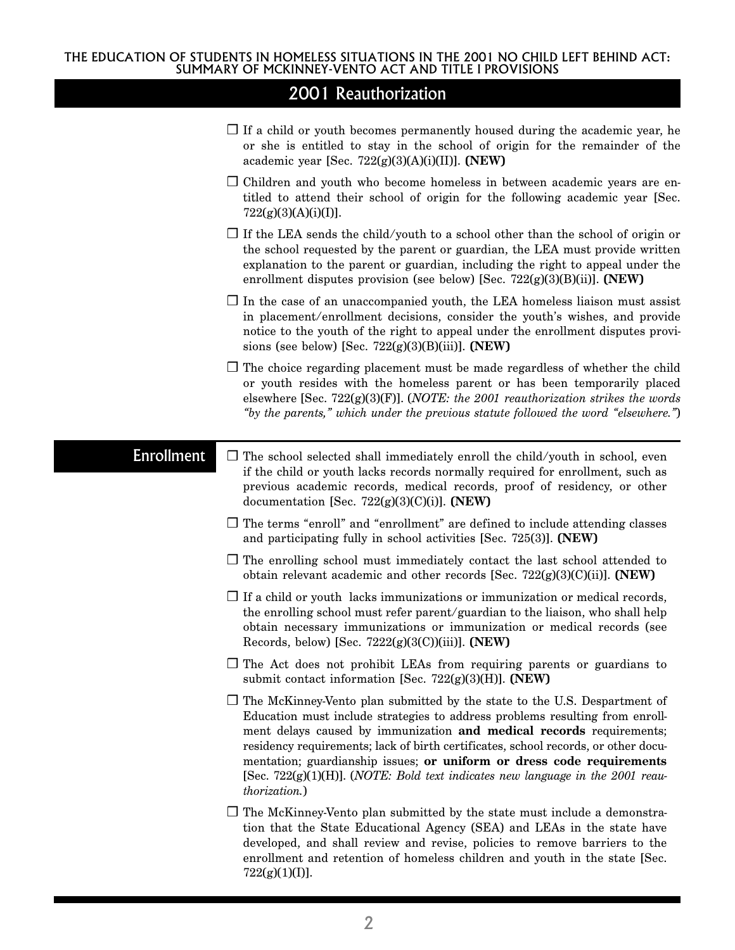|                   | $\Box$ If a child or youth becomes permanently housed during the academic year, he<br>or she is entitled to stay in the school of origin for the remainder of the<br>academic year [Sec. $722(g)(3)(A)(i)(II)$ ]. (NEW)                                                                                                                                                                                                                                                                                                       |
|-------------------|-------------------------------------------------------------------------------------------------------------------------------------------------------------------------------------------------------------------------------------------------------------------------------------------------------------------------------------------------------------------------------------------------------------------------------------------------------------------------------------------------------------------------------|
|                   | $\Box$ Children and youth who become homeless in between academic years are en-<br>titled to attend their school of origin for the following academic year [Sec.<br>$722(g)(3)(A)(i)(I)$ ].                                                                                                                                                                                                                                                                                                                                   |
|                   | $\Box$ If the LEA sends the child/youth to a school other than the school of origin or<br>the school requested by the parent or guardian, the LEA must provide written<br>explanation to the parent or guardian, including the right to appeal under the<br>enrollment disputes provision (see below) [Sec. $722(g)(3)(B)(ii)$ ]. (NEW)                                                                                                                                                                                       |
|                   | $\Box$ In the case of an unaccompanied youth, the LEA homeless liaison must assist<br>in placement/enrollment decisions, consider the youth's wishes, and provide<br>notice to the youth of the right to appeal under the enrollment disputes provi-<br>sions (see below) [Sec. $722(g)(3)(B)(iii)$ ]. (NEW)                                                                                                                                                                                                                  |
|                   | $\Box$ The choice regarding placement must be made regardless of whether the child<br>or youth resides with the homeless parent or has been temporarily placed<br>elsewhere [Sec. 722(g)(3)(F)]. ( <i>NOTE</i> : the 2001 reauthorization strikes the words<br>"by the parents," which under the previous statute followed the word "elsewhere.")                                                                                                                                                                             |
| <b>Enrollment</b> | $\Box$ The school selected shall immediately enroll the child/youth in school, even<br>if the child or youth lacks records normally required for enrollment, such as<br>previous academic records, medical records, proof of residency, or other<br>documentation [Sec. $722(g)(3)(C)(i)$ ]. (NEW)                                                                                                                                                                                                                            |
|                   | $\Box$ The terms "enroll" and "enrollment" are defined to include attending classes<br>and participating fully in school activities [Sec. 725(3)]. (NEW)                                                                                                                                                                                                                                                                                                                                                                      |
|                   | $\Box$ The enrolling school must immediately contact the last school attended to<br>obtain relevant academic and other records [Sec. $722(g)(3)(C)(ii)$ ]. (NEW)                                                                                                                                                                                                                                                                                                                                                              |
|                   | $\Box$ If a child or youth lacks immunizations or immunization or medical records,<br>the enrolling school must refer parent/guardian to the liaison, who shall help<br>obtain necessary immunizations or immunization or medical records (see<br>Records, below) [Sec. $7222(g)(3(C))(iii)$ ]. (NEW)                                                                                                                                                                                                                         |
|                   | $\Box$ The Act does not prohibit LEAs from requiring parents or guardians to<br>submit contact information [Sec. $722(g)(3)(H)$ ]. (NEW)                                                                                                                                                                                                                                                                                                                                                                                      |
|                   | $\Box$ The McKinney-Vento plan submitted by the state to the U.S. Despartment of<br>Education must include strategies to address problems resulting from enroll-<br>ment delays caused by immunization and medical records requirements;<br>residency requirements; lack of birth certificates, school records, or other docu-<br>mentation; guardianship issues; or uniform or dress code requirements<br>[Sec. $722(g)(1)(H)$ ]. ( <i>NOTE: Bold text indicates new language in the 2001 reau-</i><br><i>thorization.</i> ) |
|                   | $\Box$ The McKinney-Vento plan submitted by the state must include a demonstra-<br>tion that the State Educational Agency (SEA) and LEAs in the state have<br>developed, and shall review and revise, policies to remove barriers to the<br>enrollment and retention of homeless children and youth in the state [Sec.<br>$722(g)(1)(I)$ ].                                                                                                                                                                                   |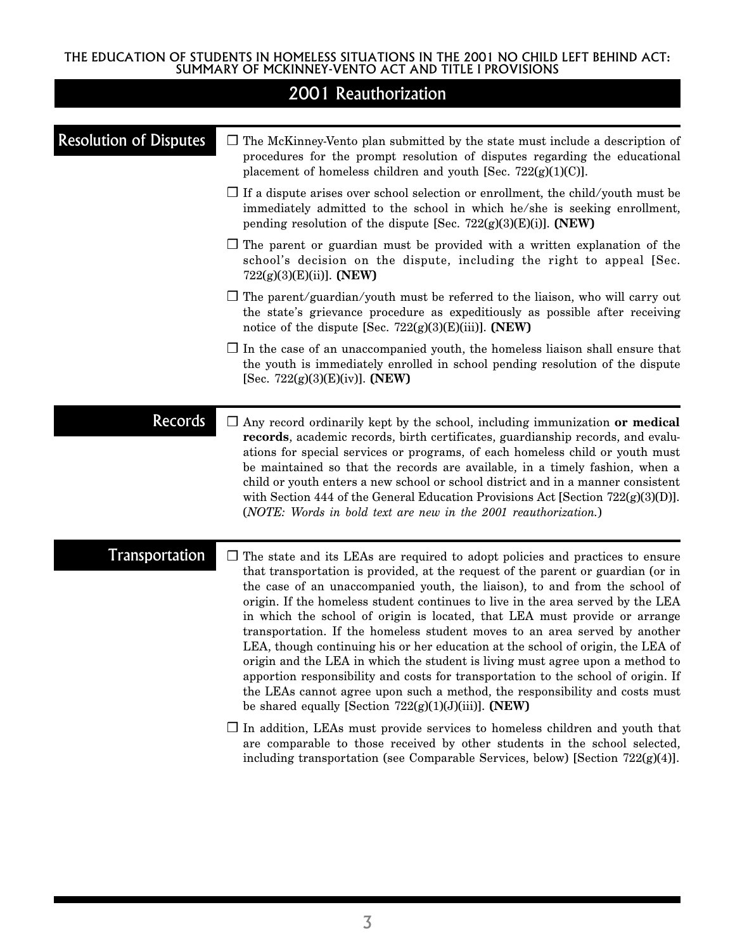|                               | 2001 Reauthorization                                                                                                                                                                                                                                                                                                                                                                                                                                                                                                                                                                                                                                                                                                                                                                                                                                                                                      |
|-------------------------------|-----------------------------------------------------------------------------------------------------------------------------------------------------------------------------------------------------------------------------------------------------------------------------------------------------------------------------------------------------------------------------------------------------------------------------------------------------------------------------------------------------------------------------------------------------------------------------------------------------------------------------------------------------------------------------------------------------------------------------------------------------------------------------------------------------------------------------------------------------------------------------------------------------------|
| <b>Resolution of Disputes</b> | $\Box$ The McKinney-Vento plan submitted by the state must include a description of<br>procedures for the prompt resolution of disputes regarding the educational<br>placement of homeless children and youth [Sec. $722(g)(1)(C)$ ].                                                                                                                                                                                                                                                                                                                                                                                                                                                                                                                                                                                                                                                                     |
|                               | $\Box$ If a dispute arises over school selection or enrollment, the child/youth must be<br>immediately admitted to the school in which he/she is seeking enrollment,<br>pending resolution of the dispute [Sec. $722(g)(3)(E)(i)$ ]. (NEW)                                                                                                                                                                                                                                                                                                                                                                                                                                                                                                                                                                                                                                                                |
|                               | $\Box$ The parent or guardian must be provided with a written explanation of the<br>school's decision on the dispute, including the right to appeal [Sec.<br>$722(g)(3)(E)(ii)$ . (NEW)                                                                                                                                                                                                                                                                                                                                                                                                                                                                                                                                                                                                                                                                                                                   |
|                               | $\Box$ The parent/guardian/youth must be referred to the liaison, who will carry out<br>the state's grievance procedure as expeditiously as possible after receiving<br>notice of the dispute [Sec. $722(g)(3)(E)(iii)$ ]. (NEW)                                                                                                                                                                                                                                                                                                                                                                                                                                                                                                                                                                                                                                                                          |
|                               | $\Box$ In the case of an unaccompanied youth, the homeless liaison shall ensure that<br>the youth is immediately enrolled in school pending resolution of the dispute<br>[Sec. $722(g)(3)(E)(iv)$ ]. (NEW)                                                                                                                                                                                                                                                                                                                                                                                                                                                                                                                                                                                                                                                                                                |
| <b>Records</b>                | $\Box$ Any record ordinarily kept by the school, including immunization or medical<br>records, academic records, birth certificates, guardianship records, and evalu-<br>ations for special services or programs, of each homeless child or youth must<br>be maintained so that the records are available, in a timely fashion, when a<br>child or youth enters a new school or school district and in a manner consistent<br>with Section 444 of the General Education Provisions Act [Section $722(g)(3)(D)$ ].<br>(NOTE: Words in bold text are new in the 2001 reauthorization.)                                                                                                                                                                                                                                                                                                                      |
| <b>Transportation</b>         | $\Box$ The state and its LEAs are required to adopt policies and practices to ensure<br>that transportation is provided, at the request of the parent or guardian (or in<br>the case of an unaccompanied youth, the liaison), to and from the school of<br>origin. If the homeless student continues to live in the area served by the LEA<br>in which the school of origin is located, that LEA must provide or arrange<br>transportation. If the homeless student moves to an area served by another<br>LEA, though continuing his or her education at the school of origin, the LEA of<br>origin and the LEA in which the student is living must agree upon a method to<br>apportion responsibility and costs for transportation to the school of origin. If<br>the LEAs cannot agree upon such a method, the responsibility and costs must<br>be shared equally [Section $722(g)(1)(J)(iii)$ ]. (NEW) |
|                               | $\Box$ In addition, LEAs must provide services to homeless children and youth that<br>are comparable to those received by other students in the school selected,<br>including transportation (see Comparable Services, below) [Section $722(g)(4)$ ].                                                                                                                                                                                                                                                                                                                                                                                                                                                                                                                                                                                                                                                     |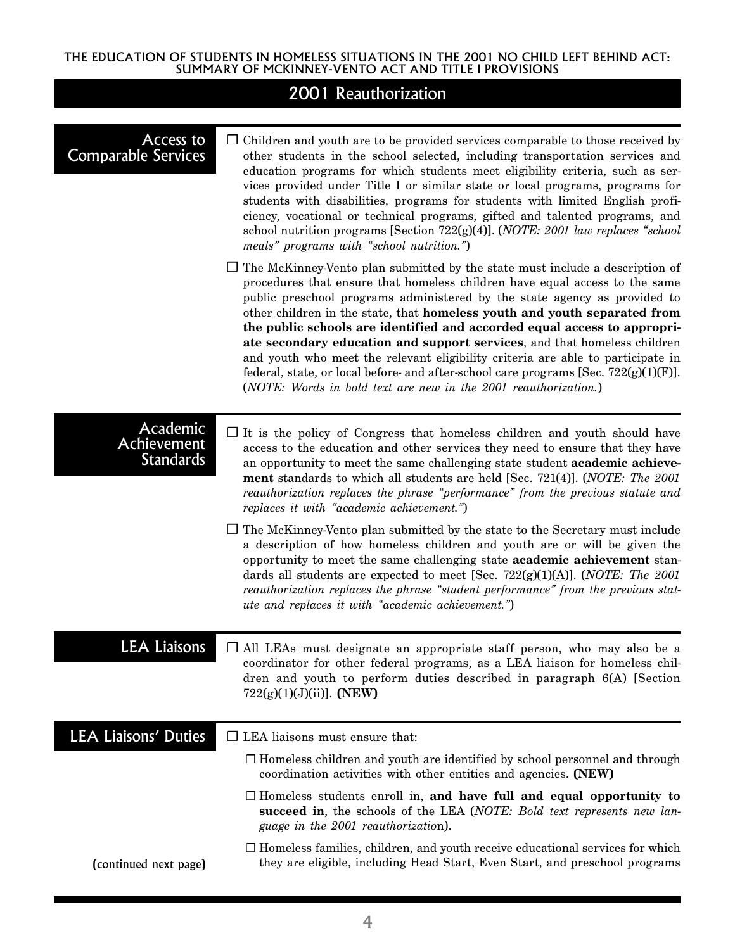| Access to<br><b>Comparable Services</b>     | $\Box$ Children and youth are to be provided services comparable to those received by<br>other students in the school selected, including transportation services and<br>education programs for which students meet eligibility criteria, such as ser-<br>vices provided under Title I or similar state or local programs, programs for<br>students with disabilities, programs for students with limited English profi-<br>ciency, vocational or technical programs, gifted and talented programs, and<br>school nutrition programs [Section 722(g)(4)]. (NOTE: 2001 law replaces "school<br>meals" programs with "school nutrition.")                                                                                               |
|---------------------------------------------|---------------------------------------------------------------------------------------------------------------------------------------------------------------------------------------------------------------------------------------------------------------------------------------------------------------------------------------------------------------------------------------------------------------------------------------------------------------------------------------------------------------------------------------------------------------------------------------------------------------------------------------------------------------------------------------------------------------------------------------|
|                                             | $\Box$ The McKinney-Vento plan submitted by the state must include a description of<br>procedures that ensure that homeless children have equal access to the same<br>public preschool programs administered by the state agency as provided to<br>other children in the state, that homeless youth and youth separated from<br>the public schools are identified and accorded equal access to appropri-<br>ate secondary education and support services, and that homeless children<br>and youth who meet the relevant eligibility criteria are able to participate in<br>federal, state, or local before- and after-school care programs [Sec. $722(g)(1)(F)$ ].<br>(NOTE: Words in bold text are new in the 2001 reauthorization.) |
| Academic<br>Achievement<br><b>Standards</b> | $\Box$ It is the policy of Congress that homeless children and youth should have<br>access to the education and other services they need to ensure that they have<br>an opportunity to meet the same challenging state student academic achieve-<br>ment standards to which all students are held [Sec. 721(4)]. (NOTE: The 2001<br>reauthorization replaces the phrase "performance" from the previous statute and<br>replaces it with "academic achievement.")                                                                                                                                                                                                                                                                      |
|                                             | $\Box$ The McKinney-Vento plan submitted by the state to the Secretary must include<br>a description of how homeless children and youth are or will be given the<br>opportunity to meet the same challenging state academic achievement stan-<br>dards all students are expected to meet [Sec. 722(g)(1)(A)]. (NOTE: The 2001<br>reauthorization replaces the phrase "student performance" from the previous stat-<br>ute and replaces it with "academic achievement.")                                                                                                                                                                                                                                                               |
| <b>LEA Liaisons</b>                         | $\Box$ All LEAs must designate an appropriate staff person, who may also be a<br>coordinator for other federal programs, as a LEA liaison for homeless chil-<br>dren and youth to perform duties described in paragraph 6(A) [Section<br>$722(g)(1)(J)(ii)$ ]. (NEW)                                                                                                                                                                                                                                                                                                                                                                                                                                                                  |
| <b>LEA Liaisons' Duties</b>                 | $\Box$ LEA liaisons must ensure that:                                                                                                                                                                                                                                                                                                                                                                                                                                                                                                                                                                                                                                                                                                 |
|                                             | $\Box$ Homeless children and youth are identified by school personnel and through<br>coordination activities with other entities and agencies. (NEW)                                                                                                                                                                                                                                                                                                                                                                                                                                                                                                                                                                                  |
|                                             | $\Box$ Homeless students enroll in, and have full and equal opportunity to<br>succeed in, the schools of the LEA (NOTE: Bold text represents new lan-<br>guage in the 2001 reauthorization).                                                                                                                                                                                                                                                                                                                                                                                                                                                                                                                                          |
| (continued next page)                       | $\Box$ Homeless families, children, and youth receive educational services for which<br>they are eligible, including Head Start, Even Start, and preschool programs                                                                                                                                                                                                                                                                                                                                                                                                                                                                                                                                                                   |
|                                             |                                                                                                                                                                                                                                                                                                                                                                                                                                                                                                                                                                                                                                                                                                                                       |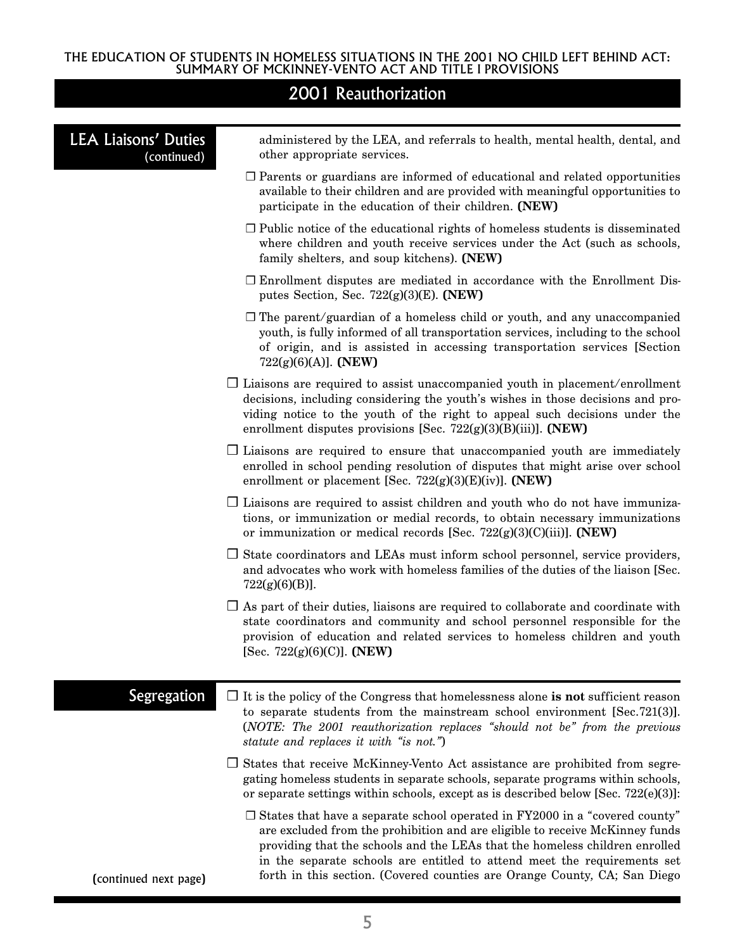| <b>LEA Liaisons' Duties</b><br>(continued) | administered by the LEA, and referrals to health, mental health, dental, and<br>other appropriate services.                                                                                                                                                                                                                                                                                                |
|--------------------------------------------|------------------------------------------------------------------------------------------------------------------------------------------------------------------------------------------------------------------------------------------------------------------------------------------------------------------------------------------------------------------------------------------------------------|
|                                            | $\Box$ Parents or guardians are informed of educational and related opportunities<br>available to their children and are provided with meaningful opportunities to<br>participate in the education of their children. (NEW)                                                                                                                                                                                |
|                                            | $\Box$ Public notice of the educational rights of homeless students is disseminated<br>where children and youth receive services under the Act (such as schools,<br>family shelters, and soup kitchens). (NEW)                                                                                                                                                                                             |
|                                            | $\Box$ Enrollment disputes are mediated in accordance with the Enrollment Dis-<br>putes Section, Sec. $722(g)(3)(E)$ . (NEW)                                                                                                                                                                                                                                                                               |
|                                            | $\Box$ The parent/guardian of a homeless child or youth, and any unaccompanied<br>youth, is fully informed of all transportation services, including to the school<br>of origin, and is assisted in accessing transportation services [Section<br>$722(g)(6)(A)$ ]. (NEW)                                                                                                                                  |
|                                            | $\Box$ Liaisons are required to assist unaccompanied youth in placement/enrollment<br>decisions, including considering the youth's wishes in those decisions and pro-<br>viding notice to the youth of the right to appeal such decisions under the<br>enrollment disputes provisions [Sec. $722(g)(3)(B)(iii)$ ]. (NEW)                                                                                   |
|                                            | $\Box$ Liaisons are required to ensure that unaccompanied youth are immediately<br>enrolled in school pending resolution of disputes that might arise over school<br>enrollment or placement [Sec. $722(g)(3)(E)(iv)$ ]. (NEW)                                                                                                                                                                             |
|                                            | $\Box$ Liaisons are required to assist children and youth who do not have immuniza-<br>tions, or immunization or medial records, to obtain necessary immunizations<br>or immunization or medical records [Sec. $722(g)(3)(C)(iii)$ ]. (NEW)                                                                                                                                                                |
|                                            | $\Box$ State coordinators and LEAs must inform school personnel, service providers,<br>and advocates who work with homeless families of the duties of the liaison [Sec.<br>$722(g)(6)(B)$ ].                                                                                                                                                                                                               |
|                                            | $\Box$ As part of their duties, liaisons are required to collaborate and coordinate with<br>state coordinators and community and school personnel responsible for the<br>provision of education and related services to homeless children and youth<br>[Sec. 722(g)(6)(C)]. (NEW)                                                                                                                          |
| Segregation                                | $\Box$ It is the policy of the Congress that homelessness alone is not sufficient reason<br>to separate students from the mainstream school environment [Sec.721(3)].<br>(NOTE: The 2001 reauthorization replaces "should not be" from the previous<br>statute and replaces it with "is not.")                                                                                                             |
|                                            | $\Box$ States that receive McKinney-Vento Act assistance are prohibited from segre-<br>gating homeless students in separate schools, separate programs within schools,<br>or separate settings within schools, except as is described below [Sec. $722(e)(3)$ ]:                                                                                                                                           |
| (continued next page)                      | $\Box$ States that have a separate school operated in FY2000 in a "covered county"<br>are excluded from the prohibition and are eligible to receive McKinney funds<br>providing that the schools and the LEAs that the homeless children enrolled<br>in the separate schools are entitled to attend meet the requirements set<br>forth in this section. (Covered counties are Orange County, CA; San Diego |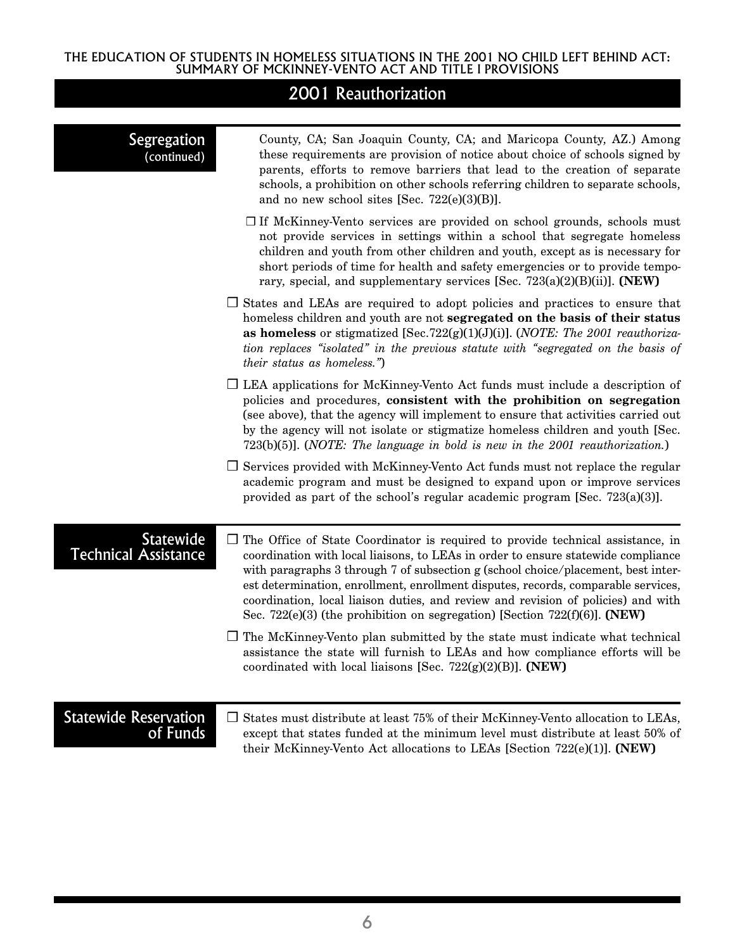| Segregation<br>(continued)                      | County, CA; San Joaquin County, CA; and Maricopa County, AZ.) Among<br>these requirements are provision of notice about choice of schools signed by<br>parents, efforts to remove barriers that lead to the creation of separate<br>schools, a prohibition on other schools referring children to separate schools,<br>and no new school sites [Sec. $722(e)(3)(B)$ ].                                                                                                                                                   |
|-------------------------------------------------|--------------------------------------------------------------------------------------------------------------------------------------------------------------------------------------------------------------------------------------------------------------------------------------------------------------------------------------------------------------------------------------------------------------------------------------------------------------------------------------------------------------------------|
|                                                 | $\Box$ If McKinney-Vento services are provided on school grounds, schools must<br>not provide services in settings within a school that segregate homeless<br>children and youth from other children and youth, except as is necessary for<br>short periods of time for health and safety emergencies or to provide tempo-<br>rary, special, and supplementary services [Sec. $723(a)(2)(B)(ii)$ ]. (NEW)                                                                                                                |
|                                                 | $\Box$ States and LEAs are required to adopt policies and practices to ensure that<br>homeless children and youth are not segregated on the basis of their status<br>as homeless or stigmatized [Sec.722(g)(1)(J)(J)]. ( <i>NOTE</i> : The 2001 reauthoriza-<br>tion replaces "isolated" in the previous statute with "segregated on the basis of<br><i>their status as homeless.</i> ")                                                                                                                                 |
|                                                 | $\Box$ LEA applications for McKinney-Vento Act funds must include a description of<br>policies and procedures, consistent with the prohibition on segregation<br>(see above), that the agency will implement to ensure that activities carried out<br>by the agency will not isolate or stigmatize homeless children and youth [Sec.<br>$723(b)(5)$ ]. ( <i>NOTE</i> : The language in bold is new in the 2001 reauthorization.)                                                                                         |
|                                                 | $\Box$ Services provided with McKinney-Vento Act funds must not replace the regular<br>academic program and must be designed to expand upon or improve services<br>provided as part of the school's regular academic program [Sec. $723(a)(3)$ ].                                                                                                                                                                                                                                                                        |
| <b>Statewide</b><br><b>Technical Assistance</b> | $\Box$ The Office of State Coordinator is required to provide technical assistance, in<br>coordination with local liaisons, to LEAs in order to ensure statewide compliance<br>with paragraphs 3 through 7 of subsection g (school choice/placement, best inter-<br>est determination, enrollment, enrollment disputes, records, comparable services,<br>coordination, local liaison duties, and review and revision of policies) and with<br>Sec. 722(e)(3) (the prohibition on segregation) [Section 722(f)(6)]. (NEW) |
|                                                 | $\Box$ The McKinney-Vento plan submitted by the state must indicate what technical<br>assistance the state will furnish to LEAs and how compliance efforts will be<br>coordinated with local liaisons [Sec. $722(g)(2)(B)$ ]. (NEW)                                                                                                                                                                                                                                                                                      |
| <b>Statewide Reservation</b><br>of Funds        | States must distribute at least 75% of their McKinney-Vento allocation to LEAs,<br>$\Box$<br>except that states funded at the minimum level must distribute at least 50% of<br>their McKinney-Vento Act allocations to LEAs [Section 722(e)(1)]. (NEW)                                                                                                                                                                                                                                                                   |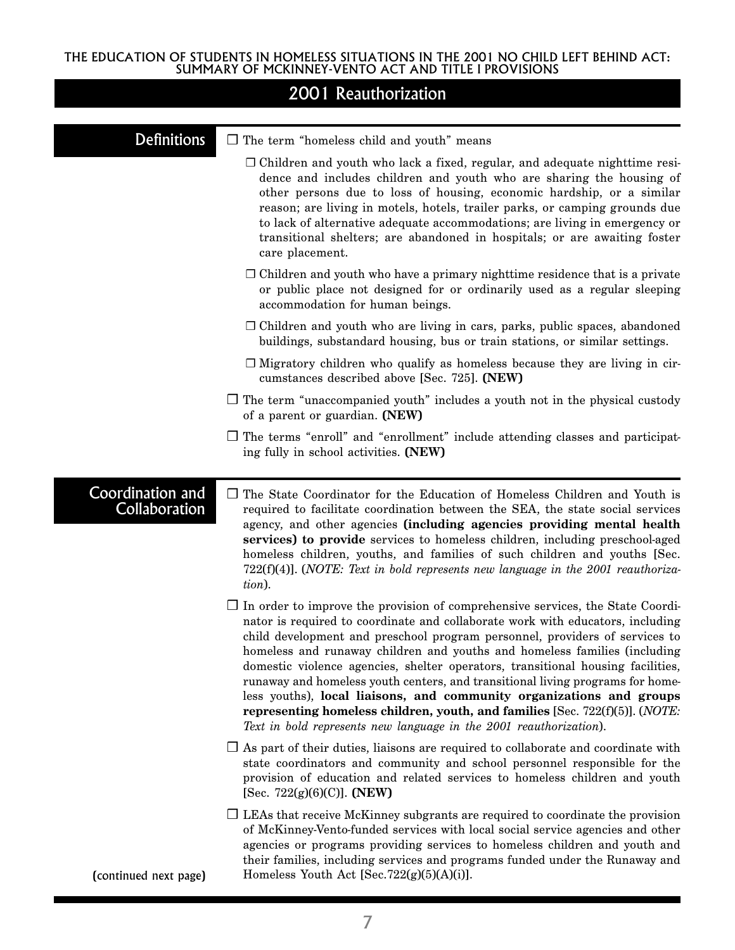|  |  |  | 2001 Reauthorization |
|--|--|--|----------------------|
|  |  |  |                      |

| Definitions                              | $\Box$ The term "homeless child and youth" means                                                                                                                                                                                                                                                                                                                                                                                                                                                                                                                                                                                                                                                                                                |  |  |
|------------------------------------------|-------------------------------------------------------------------------------------------------------------------------------------------------------------------------------------------------------------------------------------------------------------------------------------------------------------------------------------------------------------------------------------------------------------------------------------------------------------------------------------------------------------------------------------------------------------------------------------------------------------------------------------------------------------------------------------------------------------------------------------------------|--|--|
|                                          | $\Box$ Children and youth who lack a fixed, regular, and adequate night time resi-<br>dence and includes children and youth who are sharing the housing of<br>other persons due to loss of housing, economic hardship, or a similar<br>reason; are living in motels, hotels, trailer parks, or camping grounds due<br>to lack of alternative adequate accommodations; are living in emergency or<br>transitional shelters; are abandoned in hospitals; or are awaiting foster<br>care placement.                                                                                                                                                                                                                                                |  |  |
|                                          | $\Box$ Children and youth who have a primary night time residence that is a private<br>or public place not designed for or ordinarily used as a regular sleeping<br>accommodation for human beings.                                                                                                                                                                                                                                                                                                                                                                                                                                                                                                                                             |  |  |
|                                          | $\Box$ Children and youth who are living in cars, parks, public spaces, abandoned<br>buildings, substandard housing, bus or train stations, or similar settings.                                                                                                                                                                                                                                                                                                                                                                                                                                                                                                                                                                                |  |  |
|                                          | $\Box$ Migratory children who qualify as homeless because they are living in cir-<br>cumstances described above [Sec. 725]. (NEW)                                                                                                                                                                                                                                                                                                                                                                                                                                                                                                                                                                                                               |  |  |
|                                          | $\Box$ The term "unaccompanied youth" includes a youth not in the physical custody<br>of a parent or guardian. (NEW)                                                                                                                                                                                                                                                                                                                                                                                                                                                                                                                                                                                                                            |  |  |
|                                          | $\Box$ The terms "enroll" and "enrollment" include attending classes and participat-<br>ing fully in school activities. (NEW)                                                                                                                                                                                                                                                                                                                                                                                                                                                                                                                                                                                                                   |  |  |
| Coordination and<br><b>Collaboration</b> | $\Box$ The State Coordinator for the Education of Homeless Children and Youth is<br>required to facilitate coordination between the SEA, the state social services<br>agency, and other agencies (including agencies providing mental health<br>services) to provide services to homeless children, including preschool-aged<br>homeless children, youths, and families of such children and youths [Sec.<br>$722(f)(4)$ ]. (NOTE: Text in bold represents new language in the 2001 reauthoriza-<br>tion).                                                                                                                                                                                                                                      |  |  |
|                                          | $\Box$ In order to improve the provision of comprehensive services, the State Coordi-<br>nator is required to coordinate and collaborate work with educators, including<br>child development and preschool program personnel, providers of services to<br>homeless and runaway children and youths and homeless families (including<br>domestic violence agencies, shelter operators, transitional housing facilities,<br>runaway and homeless youth centers, and transitional living programs for home-<br>less youths), local liaisons, and community organizations and groups<br>representing homeless children, youth, and families [Sec. 722(f)(5)]. ( <i>NOTE</i> :<br>Text in bold represents new language in the 2001 reauthorization). |  |  |
|                                          | $\Box$ As part of their duties, liaisons are required to collaborate and coordinate with<br>state coordinators and community and school personnel responsible for the<br>provision of education and related services to homeless children and youth<br>[Sec. 722 $(g)(6)(C)$ ]. (NEW)                                                                                                                                                                                                                                                                                                                                                                                                                                                           |  |  |
| (continued next page)                    | $\Box$ LEAs that receive McKinney subgrants are required to coordinate the provision<br>of McKinney-Vento-funded services with local social service agencies and other<br>agencies or programs providing services to homeless children and youth and<br>their families, including services and programs funded under the Runaway and<br>Homeless Youth Act $[Sec.722(g)(5)(A)(i)].$                                                                                                                                                                                                                                                                                                                                                             |  |  |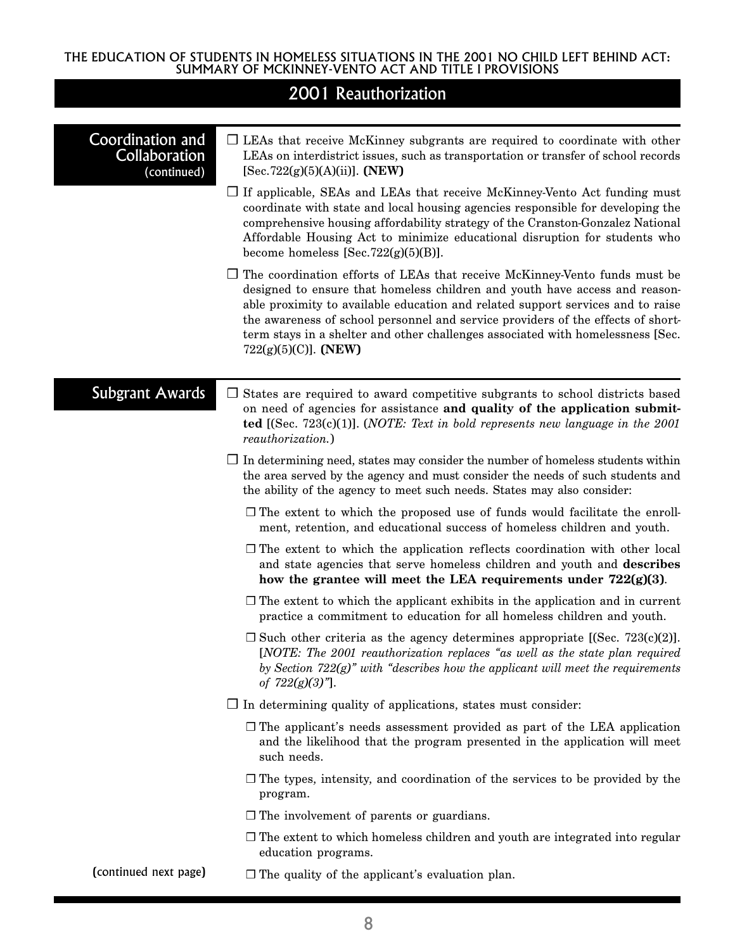|                                                         | 2001 Reauthorization                                                                                                                                                                                                                                                                                                                                                                                                                                  |
|---------------------------------------------------------|-------------------------------------------------------------------------------------------------------------------------------------------------------------------------------------------------------------------------------------------------------------------------------------------------------------------------------------------------------------------------------------------------------------------------------------------------------|
| Coordination and<br><b>Collaboration</b><br>(continued) | $\Box$ LEAs that receive McKinney subgrants are required to coordinate with other<br>LEAs on interdistrict issues, such as transportation or transfer of school records<br>$[Sec.722(g)(5)(A)(ii)]$ . (NEW)                                                                                                                                                                                                                                           |
|                                                         | $\Box$ If applicable, SEAs and LEAs that receive McKinney-Vento Act funding must<br>coordinate with state and local housing agencies responsible for developing the<br>comprehensive housing affordability strategy of the Cranston-Gonzalez National<br>Affordable Housing Act to minimize educational disruption for students who<br>become homeless [Sec.722 $(g)(5)(B)$ ].                                                                        |
|                                                         | $\Box$ The coordination efforts of LEAs that receive McKinney-Vento funds must be<br>designed to ensure that homeless children and youth have access and reason-<br>able proximity to available education and related support services and to raise<br>the awareness of school personnel and service providers of the effects of short-<br>term stays in a shelter and other challenges associated with homelessness [Sec.<br>$722(g)(5)(C)$ ]. (NEW) |
| <b>Subgrant Awards</b>                                  | $\Box$ States are required to award competitive subgrants to school districts based<br>on need of agencies for assistance and quality of the application submit-<br><b>ted</b> [(Sec. 723(c)(1)]. ( <i>NOTE: Text in bold represents new language in the 2001</i><br>reauthorization.)                                                                                                                                                                |
|                                                         | $\Box$ In determining need, states may consider the number of homeless students within<br>the area served by the agency and must consider the needs of such students and<br>the ability of the agency to meet such needs. States may also consider:                                                                                                                                                                                                   |
|                                                         | $\Box$ The extent to which the proposed use of funds would facilitate the enroll-<br>ment, retention, and educational success of homeless children and youth.                                                                                                                                                                                                                                                                                         |
|                                                         | $\Box$ The extent to which the application reflects coordination with other local<br>and state agencies that serve homeless children and youth and describes<br>how the grantee will meet the LEA requirements under 722(g)(3).                                                                                                                                                                                                                       |
|                                                         | $\Box$ The extent to which the applicant exhibits in the application and in current<br>practice a commitment to education for all homeless children and youth.                                                                                                                                                                                                                                                                                        |
|                                                         | $\Box$ Such other criteria as the agency determines appropriate [(Sec. 723(c)(2)].<br>[NOTE: The 2001 reauthorization replaces "as well as the state plan required<br>by Section $722(g)$ " with "describes how the applicant will meet the requirements<br>of $722(g)(3)$ "].                                                                                                                                                                        |
|                                                         | $\Box$ In determining quality of applications, states must consider:                                                                                                                                                                                                                                                                                                                                                                                  |
|                                                         | $\Box$ The applicant's needs assessment provided as part of the LEA application<br>and the likelihood that the program presented in the application will meet<br>such needs.                                                                                                                                                                                                                                                                          |
|                                                         | $\Box$ The types, intensity, and coordination of the services to be provided by the<br>program.                                                                                                                                                                                                                                                                                                                                                       |
|                                                         | $\Box$ The involvement of parents or guardians.                                                                                                                                                                                                                                                                                                                                                                                                       |
|                                                         | $\Box$ The extent to which homeless children and youth are integrated into regular<br>education programs.                                                                                                                                                                                                                                                                                                                                             |
| (continued next page)                                   | $\Box$ The quality of the applicant's evaluation plan.                                                                                                                                                                                                                                                                                                                                                                                                |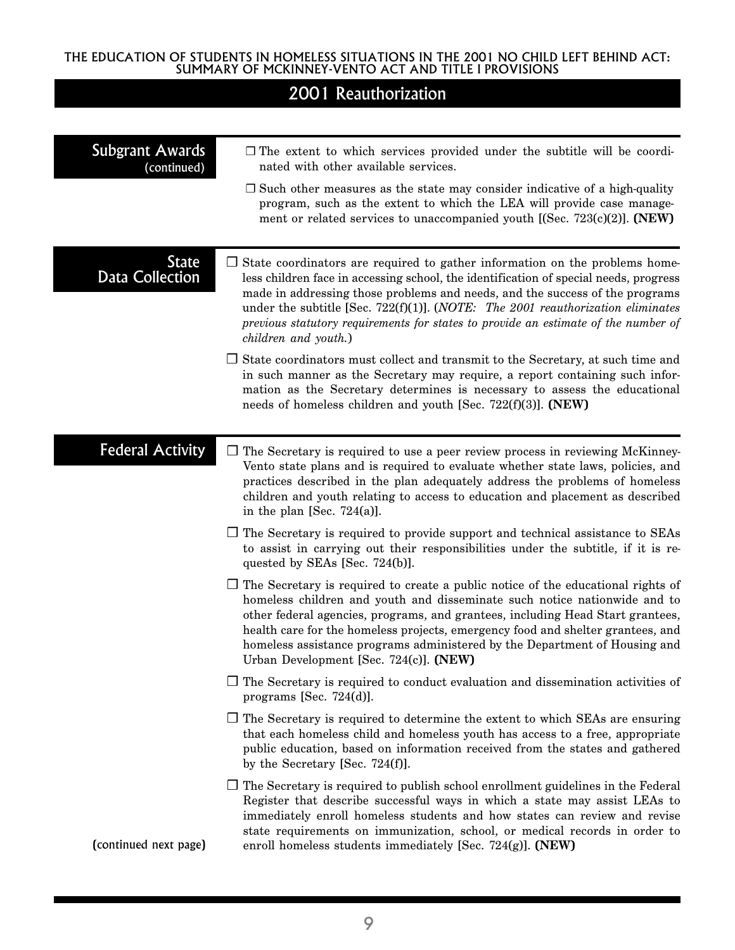| <b>Subgrant Awards</b><br>(continued)  | $\Box$ The extent to which services provided under the subtitle will be coordi-<br>nated with other available services.                                                                                                                                                                                                                                                                                                                                               |  |  |
|----------------------------------------|-----------------------------------------------------------------------------------------------------------------------------------------------------------------------------------------------------------------------------------------------------------------------------------------------------------------------------------------------------------------------------------------------------------------------------------------------------------------------|--|--|
|                                        | $\Box$ Such other measures as the state may consider indicative of a high-quality<br>program, such as the extent to which the LEA will provide case manage-<br>ment or related services to unaccompanied youth [(Sec. 723(c)(2)]. (NEW)                                                                                                                                                                                                                               |  |  |
| <b>State</b><br><b>Data Collection</b> | $\Box$ State coordinators are required to gather information on the problems home-<br>less children face in accessing school, the identification of special needs, progress<br>made in addressing those problems and needs, and the success of the programs<br>under the subtitle [Sec. 722(f)(1)]. ( <i>NOTE</i> : The 2001 reauthorization eliminates<br>previous statutory requirements for states to provide an estimate of the number of<br>children and youth.) |  |  |
|                                        | $\Box$ State coordinators must collect and transmit to the Secretary, at such time and<br>in such manner as the Secretary may require, a report containing such infor-<br>mation as the Secretary determines is necessary to assess the educational<br>needs of homeless children and youth [Sec. 722(f)(3)]. (NEW)                                                                                                                                                   |  |  |
| <b>Federal Activity</b>                | $\Box$ The Secretary is required to use a peer review process in reviewing McKinney-<br>Vento state plans and is required to evaluate whether state laws, policies, and<br>practices described in the plan adequately address the problems of homeless<br>children and youth relating to access to education and placement as described<br>in the plan [Sec. $724(a)$ ].                                                                                              |  |  |
|                                        | $\Box$ The Secretary is required to provide support and technical assistance to SEAs<br>to assist in carrying out their responsibilities under the subtitle, if it is re-<br>quested by SEAs [Sec. 724(b)].                                                                                                                                                                                                                                                           |  |  |
|                                        | $\Box$ The Secretary is required to create a public notice of the educational rights of<br>homeless children and youth and disseminate such notice nationwide and to<br>other federal agencies, programs, and grantees, including Head Start grantees,<br>health care for the homeless projects, emergency food and shelter grantees, and<br>homeless assistance programs administered by the Department of Housing and<br>Urban Development [Sec. 724(c)]. (NEW)     |  |  |
|                                        | $\Box$ The Secretary is required to conduct evaluation and dissemination activities of<br>programs [Sec. $724(d)$ ].                                                                                                                                                                                                                                                                                                                                                  |  |  |
|                                        | $\Box$ The Secretary is required to determine the extent to which SEAs are ensuring<br>that each homeless child and homeless youth has access to a free, appropriate<br>public education, based on information received from the states and gathered<br>by the Secretary [Sec. $724(f)$ ].                                                                                                                                                                            |  |  |
| (continued next page)                  | $\Box$ The Secretary is required to publish school enrollment guidelines in the Federal<br>Register that describe successful ways in which a state may assist LEAs to<br>immediately enroll homeless students and how states can review and revise<br>state requirements on immunization, school, or medical records in order to<br>enroll homeless students immediately [Sec. 724(g)]. (NEW)                                                                         |  |  |
|                                        |                                                                                                                                                                                                                                                                                                                                                                                                                                                                       |  |  |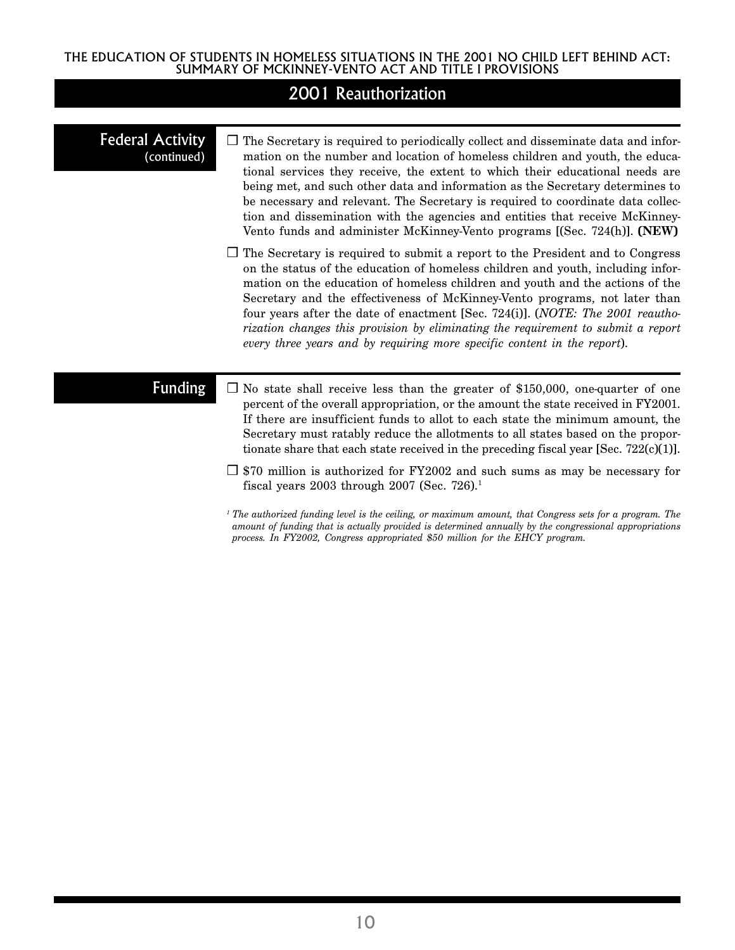|  | 2001 Reauthorization |
|--|----------------------|
|  |                      |

| <b>Federal Activity</b> |
|-------------------------|
| (continued)             |

- ❒ The Secretary is required to periodically collect and disseminate data and information on the number and location of homeless children and youth, the educational services they receive, the extent to which their educational needs are being met, and such other data and information as the Secretary determines to be necessary and relevant. The Secretary is required to coordinate data collection and dissemination with the agencies and entities that receive McKinney-Vento funds and administer McKinney-Vento programs [(Sec. 724(h)]. **(NEW)**
- ❒ The Secretary is required to submit a report to the President and to Congress on the status of the education of homeless children and youth, including information on the education of homeless children and youth and the actions of the Secretary and the effectiveness of McKinney-Vento programs, not later than four years after the date of enactment [Sec. 724(i)]. (*NOTE: The 2001 reauthorization changes this provision by eliminating the requirement to submit a report every three years and by requiring more specific content in the report*).

### Funding

- ❒ No state shall receive less than the greater of \$150,000, one-quarter of one percent of the overall appropriation, or the amount the state received in FY2001. If there are insufficient funds to allot to each state the minimum amount, the Secretary must ratably reduce the allotments to all states based on the proportionate share that each state received in the preceding fiscal year [Sec. 722(c)(1)].
- ❒ \$70 million is authorized for FY2002 and such sums as may be necessary for fiscal years  $2003$  through  $2007$  (Sec. 726).<sup>1</sup>

*<sup>1</sup> The authorized funding level is the ceiling, or maximum amount, that Congress sets for a program. The amount of funding that is actually provided is determined annually by the congressional appropriations process. In FY2002, Congress appropriated \$50 million for the EHCY program.*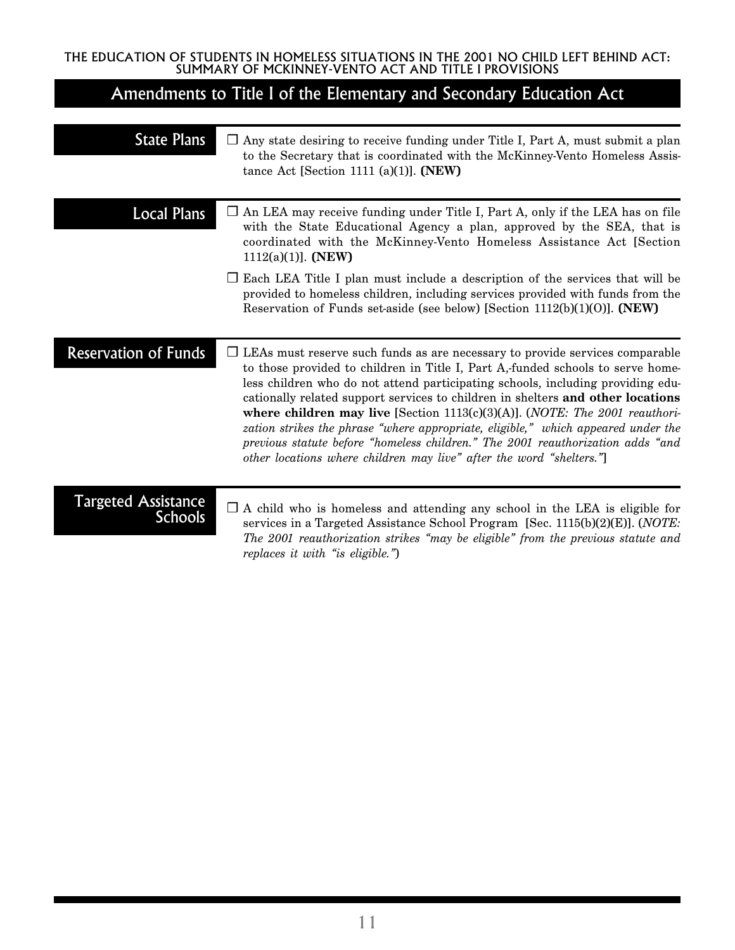# Amendments to Title I of the Elementary and Secondary Education Act

| <b>State Plans</b>                           | $\Box$ Any state desiring to receive funding under Title I, Part A, must submit a plan<br>to the Secretary that is coordinated with the McKinney-Vento Homeless Assis-<br>tance Act [Section 1111 (a)(1)]. $(NEW)$                                                                                                                                                                                                                                                                                                                                                                                                                                                                 |
|----------------------------------------------|------------------------------------------------------------------------------------------------------------------------------------------------------------------------------------------------------------------------------------------------------------------------------------------------------------------------------------------------------------------------------------------------------------------------------------------------------------------------------------------------------------------------------------------------------------------------------------------------------------------------------------------------------------------------------------|
| Local Plans                                  | $\Box$ An LEA may receive funding under Title I, Part A, only if the LEA has on file<br>with the State Educational Agency a plan, approved by the SEA, that is<br>coordinated with the McKinney-Vento Homeless Assistance Act [Section<br>$1112(a)(1)$ . (NEW)                                                                                                                                                                                                                                                                                                                                                                                                                     |
|                                              | $\Box$ Each LEA Title I plan must include a description of the services that will be<br>provided to homeless children, including services provided with funds from the<br>Reservation of Funds set-aside (see below) [Section 1112(b)(1)(0)]. (NEW)                                                                                                                                                                                                                                                                                                                                                                                                                                |
| <b>Reservation of Funds</b>                  | $\Box$ LEAs must reserve such funds as are necessary to provide services comparable<br>to those provided to children in Title I, Part A,-funded schools to serve home-<br>less children who do not attend participating schools, including providing edu-<br>cationally related support services to children in shelters and other locations<br>where children may live [Section 1113(c)(3)(A)]. ( <i>NOTE: The 2001 reauthori-</i><br>zation strikes the phrase "where appropriate, eligible," which appeared under the<br>previous statute before "homeless children." The 2001 reauthorization adds "and<br>other locations where children may live" after the word "shelters." |
| <b>Targeted Assistance</b><br><b>Schools</b> | $\Box$ A child who is homeless and attending any school in the LEA is eligible for<br>services in a Targeted Assistance School Program [Sec. $1115(b)(2)(E)$ ]. ( <i>NOTE</i> :<br>The 2001 reauthorization strikes "may be eligible" from the previous statute and<br>replaces it with "is eligible.")                                                                                                                                                                                                                                                                                                                                                                            |